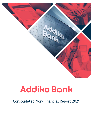

# Consolidated Non-Financial Report 2021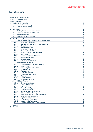### **Table of contents**

|                            |                            |                                                     | 3               |  |  |
|----------------------------|----------------------------|-----------------------------------------------------|-----------------|--|--|
| Foreword by the Management |                            |                                                     |                 |  |  |
|                            | Year 2021 - Key Highlights |                                                     |                 |  |  |
| About This Report          |                            |                                                     | 4               |  |  |
| 1.                         |                            | Addiko Bank - About Us                              | 5               |  |  |
|                            | 1.1.                       | Addiko Group's Strategy                             | 6               |  |  |
|                            | 1.2.                       | Addiko's Role in Society                            | 7               |  |  |
| 2.                         | <b>Our Clients</b>         |                                                     | 8               |  |  |
|                            | 2.1.                       | Selling Practices & Product Labelling               | $\overline{8}$  |  |  |
|                            | 2.2.                       |                                                     | 8               |  |  |
|                            |                            | Access & Affordability of Products                  |                 |  |  |
|                            | 2.3.                       | <b>Consumer Business</b>                            | 9               |  |  |
|                            | 2.4.                       | <b>SME and Corporate Business</b>                   | 10              |  |  |
| 3.                         |                            | Our People and Principles                           | 10              |  |  |
| 3.1.                       |                            | Addiko Group's People Strategy - mission and vision | $\overline{10}$ |  |  |
|                            | 3.1.1.                     | Number of Employees                                 | 11              |  |  |
|                            | 3.1.2.                     | Age Structure and Seniority at Addiko Bank          | 11              |  |  |
|                            | 3.1.3.                     | <b>Educational Level</b>                            | 13              |  |  |
|                            | 3.1.4.                     | Inactive employees                                  | 13              |  |  |
|                            | 3.1.5.                     | <b>Headcount Development</b>                        | 13              |  |  |
|                            | 3.1.6.                     | Employee Health & Safety                            | 14              |  |  |
|                            | 3.1.7.                     | Diversity and Equal Opportunities                   | 15              |  |  |
|                            | 3.1.8.                     | Recruitment                                         | 16              |  |  |
|                            | 3.1.9.                     | Learning and Personal Growth                        | 17              |  |  |
|                            | 3.1.10.                    | <b>Performance Culture</b>                          | 17              |  |  |
|                            | 3.1.11.                    | Remuneration                                        | 17              |  |  |
|                            | 3.1.12.                    | <b>Employer Brand Awards</b>                        | 18              |  |  |
|                            | 3.2.                       | Group-Wide Compliance                               | 18              |  |  |
|                            | 3.2.1.                     | Code of Business Conduct and Ethics                 | 18              |  |  |
|                            | 3.2.2.                     | Human Rights                                        | 18              |  |  |
|                            | 3.2.3.                     | Anti-Corruption, Anti-Bribery                       | 19              |  |  |
|                            | 3.2.4.                     | Whistleblowing                                      | 19              |  |  |
|                            | 3.2.5.                     | Transparency                                        | 19              |  |  |
|                            | 3.2.6.                     | Conflict of Interest                                | 20              |  |  |
|                            | 3.2.7.                     | <b>Compliance Management</b>                        | 20              |  |  |
|                            | 3.2.8.                     | <b>Training</b>                                     | 20              |  |  |
|                            | 3.2.9.                     | <b>Customer Privacy</b>                             | 20              |  |  |
|                            | 3.2.10.                    | <b>Information Security</b>                         | 21              |  |  |
| 3.3.                       |                            | <b>ESG and Taxonomy</b>                             | 21              |  |  |
|                            | 3.3.1.                     | <b>Environmental Matters</b>                        | 21              |  |  |
|                            | 3.3.2.                     | <b>Space Optimisation</b>                           | 22              |  |  |
|                            | 3.3.3.                     | <b>Energy Saving</b>                                | 22              |  |  |
|                            | 3.3.4.                     | Reduction of CO <sub>2</sub> emissions              | 23              |  |  |
|                            | 3.3.5.                     | <b>Travel Management</b>                            | 24              |  |  |
|                            | 3.3.6.                     | Document Management System                          | 24              |  |  |
|                            | 3.3.7.                     | <b>Effects of Digital Banking</b>                   | 24              |  |  |
|                            | 3.3.8.                     | Paper Reduction and Sustainable Printing            | 24              |  |  |
|                            | 3.3.9.                     | <b>General Awareness Raising</b>                    | 24              |  |  |
|                            | 3.3.10.                    | Supplier management                                 | 24              |  |  |
|                            | 3.3.11.                    | <b>Climate Risks Assessment</b>                     | 24              |  |  |
|                            | 3.3.12.                    | Article 8 of EU Taxonomy                            | 25              |  |  |
|                            | 3.3.13.                    | <b>Green Assets Ratio and Green Products</b>        | 26              |  |  |
| 4.                         | Glossary                   |                                                     | 28              |  |  |
| 5.                         | Imprint                    |                                                     | 29              |  |  |
|                            |                            |                                                     |                 |  |  |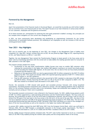### <span id="page-2-0"></span>**Foreword by the Management**

Dear all,

Apart from presentation of the financial results in the Annual Report, we would like to provide you with further insights into our activities from a non-financial point of view. This report focuses on our main initiatives in various areas relevant for our customers, employees and the general environment.

All of these activities are prerequisites for achieving the main goals presented in Addiko's strategy. Our principles are our compass which navigates us in the current fast-changing world.

In 2021, we have continuously been developing and establishing an organisational framework for the further enhancement of sustainable business practices, the wellbeing of our employees as well the inclusion of ESG into our existing governance model.

### <span id="page-2-1"></span>**Year 2021 – Key Highlights**

2021 was an eventful year. At the beginning of June 2021, the changes in the Management Team of Addiko were completed. On 1 May 2021, Herbert Juranek took over as CEO. He was joined by Edgar Flaggl as CFO, reporting directly to him, and Tadej Krasovec as CRO on 1 June 2021.

Together, the new Management Team started the Transformation Program to boost growth in the focus areas and to lower costs by streamlining operations with the overall aim to make Addiko the leading specialist bank for Consumer & SME customers in the CSEE region.

The program already yielded first results:

- Acceleration of the loan book transformation: Addiko focuses even more on smaller SME customers while reducing the concentration in the higher-size medium SME segment resulting in an overall focus book growth by 9.5% excluding the medium SME segment. At the same time, the run-down of the non-focus book proceeded as planned and decreased by 33%.
- Reduction of the operational OPEX run-rate by approximately EUR 10 million compared to the EUR 174 million guidance for 2021. First results are already visible with reported operating expenses of EUR 171.1 million (down EUR 2.9 million vs. the 2021 guidance).
- Push for NPE reduction: Initiatives started in the second half of 2021 resulted in a decrease of the NPE volume by EUR 50 million, thereby improving the NPE ratio to 2.9% at the end of 2021 compared to 2020's 3.5%. The NPE ratio related to on-balance loans decreased to 4.0% (2020: 4.7%).

Overall, the economies in CSEE showed solid growth and exceeded previous forecasts with strong household consumption, flourishing business investments and a rebound in tourism. The still ongoing pandemic had no significant effect on the economy. Business activities seem to be normalising. People and enterprises have adapted to the new normality and are acting as if there were no pandemic.

The favourable economic environment is also reflected in the financial results. For 2021, Addiko Group posted a profit of EUR 13.6 million supported by a solid operating performance and the Transformation Program. The focus areas are growing, the accelerated run-down of the non-focus book is progressing as planned, and the Group is well on track to achieve the 95% goal of the loan book in the focus areas in the mid-term. At the end of the year 2021, the share of the two focus segments Consumer and SME of the gross performing loan book increased to 74% (YE20: 65%). The size of the overall gross performing loan book declined to EUR 3.28 billion (YE20: EUR 3.60 billion) as a result of the managed rundown of the non-focus portfolios as well as the reduction in the higher-size medium SME segment.

In autumn 2021, Addiko received the draft SREP letter 2021 from the European Central Bank, which was confirmed in February 2022. The new SREP foresees a considerable reduction in the Group's capital requirements. The Pillar 2 Requirement (P2R) decreased to 3.25% (4.1% in 2020) and the Pillar 2 Guidance (P2G) to 2% (4% in 2020).

Overall, Addiko Group's financial position remained solid. The CET1 ratio further improved to 22.2% on a transitional basis (21.6% IFRS 9 fully loaded) proving the resilient asset quality and the strong balance sheet of the Group.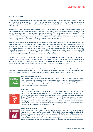### <span id="page-3-0"></span>**About This Report**

Addiko Bank is a large corporation of public interest, which fulfils the criteria set out in sections 243b and 267a of the Austrian Commercial Code and may therefore employ an annual average of more than 500 employees on a consolidated basis. Since it fulfils these specific criteria, Addiko Group draws up a Consolidated Non-Financial Report pursuant to applicable law.

Addiko Group formed a systematic panel of experts from various departments to carry out a materiality check to define and specify the relevant non-financial topics. The aim was, inter alia, to collect information about the economic, social and environmental impact of Addiko Group's business operations. This impact was examined in terms of extent, probability and influence. Sections 243b and 267a of the Austrian Commercial Code focusing on environmental, social and labour topics, human rights, combating corruption and bribery were taken into consideration in the decision-making process, along with the Sustainability Accounting Standards Board's Materiality Map<sup>1</sup>.

Based on the panel of experts' findings and following appropriate analysis, Addiko Group identified its most important stakeholders. These include customers, employees, the Works Council, the Supervisory Board, shareholders, regulators, suppliers and service providers, interest groups, competitors, and rating agencies. Furthermore, the topics listed in this Non-Financial Report were deemed to be significant. It was also determined that Addiko Group, its business relationships, products and services neither pose any significant risks nor cause negative effects in connection with product design & lifecycle management, as Addiko Group simply offers products associated with daily banking activities, which require little to no advisory support and are suitable for standardisation.

The main topics covered in this Non-Financial Report include Addiko's [Role in Society,](#page-6-0) [Selling Practices & Product](#page-7-1)  [Labelling,](#page-7-1) [Access & Affordability of](#page-7-2) Products, Addiko Group's People Strategy – [mission and vision](#page-9-2) (including equality, fair working conditions, remuneration and development) and Group-Wide Compliance (including the [Code of Business](#page-17-2)  [Conduct and Ethics,](#page-17-2) [Anti-Corruption, Anti-Bribery,](#page-18-0) [Customer Privacy](#page-19-3) and [Information Security\)](#page-20-0).

As part of its business activities, Addiko Group acknowledges the importance of sustainability initiatives and strives to contribute to them accordingly. It is able to play a part by implementing the following SDGs: "Good Health and Well-Being" (3), "Gender Equality" (5), "Decent Work and Economic Growth" (8) and "Climate Action" (13).



#### **Good Health and Well-Being (3)**

Addiko Group supports Good Health and Well-Being. Its employees are encouraged to live a healthy, active lifestyle. Office kitchens promote healthy eating habits. Employees are also encouraged to join local gyms as well as participate in business runs and local marathons. In addition, there are frequent in-office health checks and health-awareness guest speakers at Addiko Group. For further details please see chapter 1.5.12.



#### **Gender Equality (5)**

Addiko Group has formalised and implemented its Group Diversity and Inclusion Policy across all Addiko Group countries, setting group-wide diversity targets for its Management and Supervisory Boards. All leadership training programmes have been revised to embrace diversity and inclusion. A "Diversity Forum" has been organised for two years in a row to discuss and brainstorm initiatives that would encourage an inclusive working environment. One of the resulting targets is to achieve top employer recognition in all Addiko Group's entities by 2022. Such certificates of recognition confirm that equality exists in the workplace, and inclusion practices and policies have been implemented. For further details please see chapter 0.

#### **Decent Work and Economic Growth (8)**



As part of Addiko Group's efforts to create well-paid quality jobs and provide employment opportunities for young professionals, in 2019 Addiko Bank Serbia and Addiko Bank Bosnia & Herzegovina (Sarajevo) signed collaboration agreements with the University of Belgrade and the University of Sarajevo respectively. The purpose is to encourage traineeships and cooperation. In addition, Addiko Bank Croatia and Addiko Bank Montenegro work closely with universities and student organisations across each respective country to enhance employment opportunities for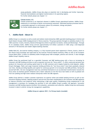young graduates. Addiko Group also plays an essential role in developing and further improving financial intermediation and digital transformation in its operating regions. For further details please see chapter 1.4



#### **Climate Action (13)**

Climate protection is an important element in Addiko Group's operational business. Addiko Group endeavours to contribute to better environmental awareness. Optimised business processes lead to a sustainable approach to continuously reduce  $CO<sub>2</sub>$  emissions, energy and plastic. For further details please see chapter 1.7.

### <span id="page-4-0"></span>**1. Addiko Bank - About Us**

Addiko Group is a consumer as well as small and medium-sized enterprises (SME) specialist banking group in Central and South Eastern Europe (CSEE) headquartered in Vienna (Austria). The group operates through six subsidiary banks in five CSEE countries: Croatia, Slovenia, Bosnia & Herzegovina (where it operates two banks), Serbia and Montenegro. Through its six subsidiary banks, Addiko Group services approximately 0.8 million customers in CSEE using a well-dispersed network of 155 branches and modern digital banking channels.

Addiko Bank AG, the Austrian holding company, is a fully licensed parent bank registered in Vienna, Austria, listed on the Vienna Stock Exchange and supervised by the Austrian Financial Market Authority (FMA) as well as the European Central Bank (ECB). It steers its subsidiary banks through group-wide strategies, policies and controls. It also manages Addiko Group's liquidity reserve.

Addiko Group has positioned itself as a specialist Consumer and SME banking group with a focus on increasing its Consumer and SME lending activities as well as payment services (its "focus areas"). It offers unsecured personal loan products for Consumers and working capital loans for its SME customers and is largely funded by retail deposits. Addiko Group's Mortgage, Public and Large Corporate lending portfolios (its "non-focus areas") have been gradually reduced over time, thereby providing liquidity and capital for continuous growth in its Consumer and SME portfolios. During the second half 2021, the new management team has committed themselves to an accelerated transformation towards the focus areas via business growth initiatives and a faster reduction of non-the focus loan books as well as gradual exit from low-yielding and high-ticket medium enterprises within the SME segment.

Addiko Group delivers a modern customer experience via superior online and mobile banking services as well as new innovative banking channels. Banking products and services have been standardised in the Consumer and SME segments to improve efficiency and simplicity while maintaining a high asset quality. Establishing strong competencies in risk management is necessary for managing the portfolio in line with Addiko Group's prudent risk approach. Successful Consumer and SME lending requires excellent risk evaluation, automation and collection. Addiko Group has continuously invested in talent to deliver strong risk management capabilities.

**Addiko Group at a glance 2021, % of Group Assets (rounded)**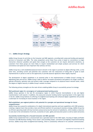

#### <span id="page-5-0"></span>**1.1. Addiko Group's Strategy**

Addiko Group focuses its activities on the Consumer and SME segments, providing both unsecured lending and payment services to Consumers and SMEs. The value proposition across these focus areas is based on convenience (a single interaction whenever possible) and speed (fast enough so the customers do not require alternative solutions), as customers from these groups are more likely to require standardised and simple products and services for which convenience and speed are more important than advisory services.

Addiko Group has a well-established physical branch network in the region to promote its digital offerings while, at the same time, providing current and potential new customers with the reassurance of being able to speak to bank representatives in person as well as the opportunity to provide physical signatures where legally required.

The development of digital capabilities is an essential pillar in the implementation of Addiko Group's strategy. By digitalising sales and service, Addiko Group is able to deliver increased convenience and speed to its target customers, operate efficiently, optimise costs and achieve wider coverage compared to its physical branch network alone, whilst the degree of digital maturity in Addiko Group's markets increases.

The following primary strengths are the main drivers enabling Addiko Group to successfully pursue its strategy:

#### **Well positioned region for convergence of underpenetrated banking sector**

Addiko Group operates in the last EU convergence region in which financial intermediation is low and digital transformation is still nascent. In addition, the unsecured consumer lending market is growing faster in this region than in the EU. Addiko Group believes its offering of straightforward banking with enhanced digital capabilities will provide a solid basis for increasing its future business in the region.

#### **Well-established, pan-regional platform with potential for synergies and operational leverage for future competitiveness**

Addiko Group has a powerful combination of in-depth international expertise and local capabilities with CSEE presence, creating a regional team that provides a lean and efficient platform for pursuing its business strategy. Addiko Group has an efficient operating model with key functions outsourced across the network of subsidiaries, which enables a reduction in costs due to the centralisation of services, economies of scale, agility and execution power as well as talent attraction.

#### **Successfully transforming into a focused Consumer and SME specialist**

Addiko Group transformed from a universal bank into a specialist bank for the CSEE region, focusing on highly profitable Consumer and SME Business lending ("focus areas") and providing simple, convenient and digitally empowered banking services. Addiko Group offers straightforward banking, which is consistently reflected in its customer communication.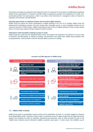Convenience and speed are among the most important factors for customers in the Consumer and SME Business segments. Addiko Group's specialisation in Consumer and SME lending is supported by prudent risk management of a solid, wellprovisioned portfolio from past business, which it can utilise in the framework of a managed run-down to finance its expansion into Consumer and SME Business.

#### **Unlocking opportunities in traditional markets with innovative digital solutions**

Addiko Group has placed the further development of digital banking at the core of its strategy. Addiko Group has implemented technological solutions that have already been thoroughly proven in more developed markets but are viewed as innovative in CSEE markets. Addiko Group believes that its focus on digital banking will help it to gain market share in its focus areas without having to expand its branch network.

#### **Solid balance sheet foundation enabling increases in profit**

Addiko Group has a solid and well-capitalised balance sheet that supports the expansion of its business in its focus areas of Consumer and SME lending. In relation to funding, risk parameters and capital base, Addiko Group operates with strong parameters, which provide it with the financial ability to pursue its strategy.



#### **Consumer and SME Approach of Addiko Group**

#### <span id="page-6-0"></span>**1.2. Addiko's Role in Society**

Addiko Group takes its responsibility towards society and its stakeholders seriously. It is actively engaged in Corporate Social Responsibility (CSR), constantly trying to make a contribution across its region of operation by supporting charity projects and initiatives by means of corporate volunteering and donations. Many of these activities are part of the 'Addiko Cares' initiative and are reflected in Addiko's corporate value system - in other words, this is Addiko's way of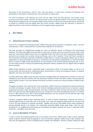giving back to the communities in which it lives, work and operate. In recent years, hundreds of employees have participated in CSR projects, dedicating their time and efforts to a good cause.

The Covid-19 pandemic is still affecting the world, and the region where the bank operates, with periodic waves occurring every several months. However, this does not seem to have any significant effect on the economy. People and enterprises have adapted to the new normality. Addiko Group continues to focus on evolving towards end-to-end services to provide its customers with pure digital loans and current accounts. Addiko Group also maintains its direction in supporting clients in their financial challenges as well as targeted support programmes.

### <span id="page-7-0"></span>**2. Our Clients**

#### <span id="page-7-1"></span>**2.1. Selling Practices & Product Labelling**

In line with its straightforward banking principle, Addiko Group pays special attention to transparent, direct, and clear communication, which is represented by its communication approach on all platforms.

The three principles of straightforward banking are: Focus on Essentials, Deliver on Efficiency and Communicate Simplicity. This means that Addiko Group provides its clients with an easier choice and convenient service while, at the same time, ensuring that Addiko Group is seen as a responsible lender. Such efforts have been recognised by independent authorities and rewarded with customer service certificates, such as the "Customers' Friend Certificate" awarded by the International Certification Association (ICERTIAS) to Addiko Bank a.d. Bosnia & Herzegovina (Banja Luka) as well as Addiko Bank d.d. Bosnia & Herzegovina (Sarajevo). Certificates were also granted to Addiko Bank d.d. Croatia and Addiko Bank d.d. Slovenia. Addiko Group representatives are also members of the national banking associations and, as such, are also closely involved in setting and implementing professional industry standards that are aligned with the highest ethical principles.

Addiko Group's dedication to being a responsible lender is particularly evident in its product design, as well as in its communication and advertisements, addressing product characteristics in a direct and transparent manner in complete alignment with sales and prudent risk management.

In product advertising, Addiko Group uses clear and direct messages along with representative examples to ensure full transparency and to provide customers with the information required for them to be able to make a conscious decision concerning their finances. Even more detailed information on products and services is always available on Addiko Group's websites.

Throughout the global crisis caused by the Covid-19 pandemic, Addiko Group has maintained the direction defined by its mission and strategy: to support clients in their financial challenges, giving them quick access to moratoria, support programmes and help to make informed decisions. Extra help is offered to clients who have lost their jobs by providing them with a practical and understandable manual on how to prepare for the online job application process. In a customer survey of 1865 moratoria users, 92% of them expressed satisfaction with the measures and 74% said that they would recommend Addiko Group to their friends and family.

Customers recognised Addiko Group's marketing efforts. In terms of brand consideration, customers are willing to consider Addiko Group as a bank they want to do business with, which has displayed stable growth over the years and is one of the main indicators of customer perception. Together with the fact that Addiko Group's brand awareness is showing desirable growth in all markets, this undisputedly illustrates Addiko Group's good image, which has been recognised for its straightforward advertising and encompasses the highest standards and values a responsible lender should have, and Addiko Group does have.

#### <span id="page-7-2"></span>**2.2. Access & Affordability of Products**

In order to ensure the broadest possible access to its products and services, Addiko Group is able to answer questions related to general financial needs by applying its "Focus on Essentials" approach. Addiko Group is fully compliant with local laws and regulations in terms of enabling access to people with disabilities. Moreover, besides fulfilling the legal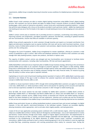requirements, Addiko Group is steadily improving its branches' access conditions for disabled persons (wheelchair ramps, etc.).

#### <span id="page-8-0"></span>**2.3. Consumer Business**

Addiko Group's retail customers are able to conduct digital banking transactions using Addiko Group's digital banking services. Non-customers can find out details and apply for Addiko Group's consumer products via specific Addiko Bank lending pages, which consist of interactive calculators, contact forms and a multichannel acquisition platform / chatbot that performs sales dialogues with a focus on the products provided in each particular market. Addiko has implemented chat banking and was one of the first banks in the region to include banking services on the messaging and voice platform Viber.

Addiko's contact centres play an essential role in providing services to customers, accelerating cross-selling activities, improving customer care programmes, and digital acquisition. Moreover, the ATM fleet, consisting of updated machines and new functionalities, ensures that ATMs are available in sufficient quantity.

Addiko Group primarily approaches its retail customers through branches and expects an increased contribution from digital and alternative touchpoints (such as express facilities with more self-service multi-functional machines, virtual branches, teams of skilled sellers present at the customers' work premises), digital channels and partnerships with third parties over the coming years.

Throughout the Covid-19 pandemic, Addiko Group strengthened its remote capabilities, offering its customers a wide variety of possibilities to get in contact. Both online and telephone assistance are offered so that customers can easily manage their daily banking business, acquire new products, and block or replace cards.

The capacity of Addiko's contact centres was enlarged and new functionalities were introduced to facilitate better communication with customers, including video functionalities, IVR chat and branch appointment.

Addiko Bank@Work continued to be an important pillar of Addiko Group's business strategy, delivering on the convenience promise Addiko Group makes to its customers through its proactive approach. With respect to daily banking, Addiko Group aims to differentiate itself from the competition through superior online and mobile banking services, innovative banking channels, and innovative ways of helping customers manage their daily financial needs, for instance by giving them the ability to utilise various types of payment methods.

Capitalising on its end-to-end virtual branch banking solution launched in Croatia in 2019, Addiko Bank in previous years launched a new release of this app in order to enhance the customer experience and started developing the same concept at Addiko Bank Slovenia (ABS) as well.

In addition to mLoan launched in Serbia in 2019, through which existing Addiko Bank customers can apply for and obtain a new loan, Addiko Bank a.d. Serbia launched a similar end-to-end solution for opening current accounts and made the end-to-end loan experience available for all Serbian consumers in 2021 through its mobile banking app.

Since Q4 2020, the mLoan solution has also been available for Addiko Bank customers in Addiko Bank's entities in Montenegro (Addiko Bank a.d. Montenegro) and Bosnia (Addiko Bank a.d. Banja Luka and Addiko Bank d.d. Sarajevo). To support modern customer service, Addiko Group entirely re-launched new internet and mobile banking concepts, based on the latest standards of user interface and user experience. Solutions such as photo pay and the introduction of chat services are examples of how Addiko Group is committed to continuously introducing improved service standards.

Addiko Group particularly focuses on selling standardised products (unsecured loans and account packages) via digital channels, in line with specific restrictions/limitations in the individual markets. Products are accessible digitally, allowing simulations where appropriate, end-to-end sales where legally possible, and lead generation.

A state-of-the-art loan application processing system combined with a credit decision engine, which had already been rolled out at Addiko Bank entities in Serbia, Bosnia & Herzegovina and Montenegro, was as well implemented in Croatia and Slovenia. Content delivery through social media, support of regular digital communication, the implementation of features such as chat pay via Viber, a chatbot, and branch designs compatible with the digital age – all of these features contribute to the strengthening of the digital dimension of Addiko Group's brand, customers' accessibility and convenience. Addiko Group continued to have a creative marketing approach in all of the markets it covers by organising so-called Red Days, presenting consumers with exciting promotional offers mainly for consumer loans. During the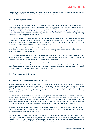promotional period, consumers can apply for loans with up to 50% discount on the interest rate, may get the first installment back in their current accounts, or have the chance to win a car.

#### <span id="page-9-0"></span>**2.4. SME and Corporate Business**

In its corporate segment, Addiko Group's SME customers have their own relationship managers. Relationship managers are located in SME business centres across Addiko Group's countries of operation. The role of the relationship managers is not only to sell banking products, but also to serve as trusted financial advisors to their respective customers. Addiko Bank branches located in SME business centres offer a full range of products to walk-in customers, while all other Addiko Bank branches provide basic account keeping services to all SME customers. SME relationship managers actively contact their current and prospective customers.

In 2018, Addiko Bank entities in Serbia and Slovenia started selling working capital loans and trade finance products via a digital platform, allowing corporate customers to either apply for such products in one of Addiko Bank's SME centres or via a relationship manager equipped with an iPad visiting the customer on-site. Customers are then served within a streamlined digital process resulting in an effective credit decision.

In 2019, Addiko developed the same functionality for SME customers in Croatia, followed by Montenegro and Bosnia & Herzegovina in third quarter of 2020. In parallel, Addiko Group is working on the introduction of further products and product categories to its digital channels.

In 2019, Addiko completed the unification of the e-banking experience across all of its countries of operation. In this respect, Addiko recently introduced a completely revamped e-banking platform for corporate customers in Slovenia and Montenegro (2019) as well as Croatia, Bosnia & Herzegovina and Serbia (2018).

The new e-banking platform was developed in cooperation with key customers and focuses heavily on convenience and user experience, especially regarding transactional banking. Moreover, it provides the technical foundation for moving the e-banking distribution channel increasingly away from a pure information gathering channel towards a self-service channel offering digital product applications initiated by the customer.

### <span id="page-9-1"></span>**3. Our People and Principles**

#### <span id="page-9-2"></span>**3.1. Addiko Group's People Strategy – mission and vision**

At Addiko Group, we believe that employee success is focused on Accountability, Collaboration and Execution. As our business strategy develops, fundamental principles of our identity remain unchanged - integrity and performance delivery. The consistent focus on transformation is an organizational strength through which Addiko employees demonstrate high organizational agility. This explains the cohesive, collaborative business teams who continually innovate and adapt.

The role of Human Resources (HR) is to elevate People Management, supporting the business to deliver the Bank's unique Business Strategy through its employees. In 2021, dedicated HR teams worked with the Business to shape the COVIDimpacted Workplace and re-connect employees. Key PEOPLE process such as engaging, hiring, development, talent and performance management were thoroughly revised setting Addiko's Culture Road Map. It will enable culture-fitting employees to achieve profitable business growth whilst adhering to the rules of sound corporate governance.

As Non-Typical and Non-Conventional Bankers, our employees are the building blocks of our bank, defining the skills, culture code and success of the Bank. Retaining and engaging qualified staff while attracting new talent is an enabler to the Bank's successful business transformation.

Year end 2021 saw the completion of the three-year D&I Scorecard and Action Plan through which principles of Diversity and Inclusion were strengthened across the Group. The 3-year targets to increase gender diversity were achieved, promoting Women to Board positions at the Management and Supervisory level and introducing significant changes to recruitment, remuneration and talent management policies and process.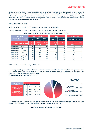Addiko Bank has consistently and systematically strengthened Talent management and succession. Annually leadership development and 'People Forum' talent discussions identify and develop future leaders and expert talent. Proof of the collaborative learning culture can be demonstrated through the Addiko Mentoring program. In 2021, Mentoring with Purpose resulted in over 120 mentoring partnerships across Addiko Group. Seventy percent of participants were women and over 90% of Board Members were Mentors.

#### <span id="page-10-0"></span>**3.1.1. Number of Employees**

At the end of 2021, a total of 2,702 employees were employed at Addiko Bank.

The majority of Addiko Bank's employees have full-time, permanent employment contracts.

#### **Overview of headcount, Type of Contract and Working Time YE 2021**

| <b>EoY 2021</b>                             | <b>Gender distribution</b> |                            |                          |       | <b>Type of contract</b>    |                  | <b>Working time</b> |  |
|---------------------------------------------|----------------------------|----------------------------|--------------------------|-------|----------------------------|------------------|---------------------|--|
| (Gender, Type of contract,<br>Working time) | <b>TOTAL</b>               | <b>FEMALE</b><br>Headcount | <b>MALE</b><br>Headcount |       | <b>PERMANENT TEMPORARY</b> | <b>FULL TIME</b> | <b>PART TIME</b>    |  |
| <b>ADDIKO GROUP TOTAL-</b>                  | 100%                       | 70.6%                      | 29.4%                    | 93.9% | 6.1%                       | 98.0%            | 2.0%                |  |
|                                             | 2,702                      | 1,907                      | 795                      | 2,538 | 164                        | 2,649            | 53                  |  |
| Addiko Bank AG Vienna                       | 129                        | 49                         | 80                       | 124   | 5                          | 114              | 15                  |  |
| Addiko Bank d.d. Zagreb                     | 846                        | 610                        | 236                      | 816   | 30                         | 844              |                     |  |
| Addiko Bank d.d. Ljubljana                  | 321                        | 199                        | 122                      | 310   | 11                         | 315              | 6                   |  |
| Addiko Bank d.d., Sarajevo                  | 343                        | 269                        | 74                       | 305   | 38                         | 343              | 0                   |  |
| Addiko Bank a.d., Banja Luka                | 351                        | 274                        | 77                       | 325   | 26                         | 351              | 0                   |  |
| Addiko Bank a.d. Beograd                    | <b>546</b>                 | 390                        | 156                      | 504   | 42                         | 517              | 29                  |  |
| Addiko Bank a.d. Podgorica                  | 166I                       | 116                        | 50                       | 154   | 12                         | 165              |                     |  |

#### <span id="page-10-1"></span>**3.1.2. Age Structure and Seniority at Addiko Bank**

The average overall age of Addiko Bank's employees is 39.7 years of age and Addiko Bank's employees are getting younger. The average age in 2020 was 40.9 years. Also, there is an increasing number of "Generation Z" employees (+1.8 compared to 2020 and +2.8% compared to 2019).

**Overview of Age Distribution as of YE 2021**



The average seniority at Addiko Bank is 9.0 years. More than 11% of employees have less than 1 year of seniority within Addiko Group and more than 38% have less than 5 years of seniority in Addiko Group.

**Overview of Seniority distribution as of YE 2021**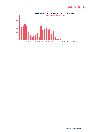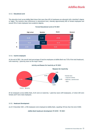#### <span id="page-12-0"></span>**3.1.3. Educational Level**

The education level across Addiko Bank shows that more than 63% of employees are educated with a bachelor's degree or higher. The statistics show differences in educational level, whereby approximately 60% of female employees and around 70% of male employees have academic degrees.



#### **Formal Educational Level at YE 2021**

#### <span id="page-12-1"></span>**3.1.4. Inactive employees**

At the end of 2021, the overall total percentage of inactive employees at Addiko Bank was 7.0% of the total headcount, with maternity / paternity leave as the major reason.



#### **Activity and Reason for Inactivity at YE 2021**

Of all employees across Addiko Bank, 8.2% were on maternity / paternity leave (239 employees), of whom 230 were female and 9 were male employees.

#### <span id="page-12-2"></span>**3.1.5. Headcount Development**

As of 31 December 2021, 2,702 employees were employed at Addiko Bank, equalling 145 less than the end of 2020.

**Addiko Bank headcount development YE 2018 – YE 2021**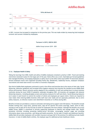



In 2021, turnover has increased in comparison to the previous year. This was made evident by measuring total employee turnover and turnover initiated by employees.



#### **Turnover in 2019, 2020 & 2021**

#### <span id="page-13-0"></span>**3.1.6. Employee Health & Safety**

Taking the learnings from 2020, health and safety of Addiko employees remained a priority in 2021. Travel and meeting restrictions remained in place for the larger part of the year. Home office was a norm. Each Bank put forward guidelines that managed flexibility, encouraging employees to safely return to the office when local COVID-19 restrictions allowed. Several employee events were organized including Family Day, Oktoberfest, leadership forums, employee workplace vaccinations and small team events in an effort to reconnect employees.

One third of Addiko Bank employees continued to work in the offices and branches due to the nature of their jobs. Social distancing, behaviour guidelines and increased office hygiene measures have become the standard across Addiko Bank offices and branches. Branch networks quickly adapted to the availability of staff and working hours to ensure business continuity during the local COVID-19 pandemic outbreaks throughout 2021. All branches are equipped with physical distancing measures, including plexiglass screens and sanitary measures for staff and clients. Social distancing measures are in place in each branch to control the number of clients and employees per square metre. Clients are required to wear masks when entering Addiko branches while staff must wear masks and are spaciously positioned. Due to strict safety measures, no infection clusters were identified in branches or in offices during 2021.

Benefits (in kind) are provided as a means to stimulate well-being and to support work-life balance. The benefits include flexible working time, study leave, parental leave, days off for specific life events (marriage, death, birth of child, moving) as well as days off on the first day of school for employees who have children. Although the benefits vary across Addiko Group, Addiko is committed to actively supporting employees to identify and manage health risks. Health promotion activities including promoting healthy-active life-styles, encouraging vacation usage and providing information about stress prevention, well-being and health promotion. On the topic of health and healthcare benefits, Addiko Bank AG provides employees with accident insurance and pays half of the premium for additional private health insurance. In most of Addiko Bank's entities, the employer pays for additional private healthcare checks.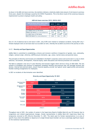As shown in the ABG sick leave overview, the statistics indicate a relatively stable total amount of sick leaves in previous three years, despite the challenges caused by the COVID-19 pandemic. This is the direct result of the numerous measures implemented to protect employee health and safety.

| ABG Sick leaves 2019, 2020 & 2021<br>(without Maternity / Paternity leaves) | 2019.   | 2020.           | 2021.   |
|-----------------------------------------------------------------------------|---------|-----------------|---------|
| <b>TOTAL hours of Sick leaves</b>                                           |         | 198,105 177,909 | 178,000 |
| <b>TOTAL Sick leaves %</b> (vs. total working hours)                        | 3.3%    | 3.2%            | 3.3%    |
| o/w FEMALE hours of Sick leaves                                             | 161,492 | 150,453         | 146,177 |
| FEMALE Sick leaves % (vs. total working hours)                              | 3.9%    | 3.9%            | 3.9%    |
| o/w MALE hours of Sick leaves                                               | 36,613  | 27,455          | 31,823  |
| MALE Sick leaves % (vs. total working hours)                                | 2.0%    | 1.6%            | 1.9%    |

#### **AGB sick leave overview 2019, 2020 & 2021**

Out of 3.3% of absences due to sick leave in 2021, only 0.05% were related to workplace accidents. During 2021 only 1 female employee went on sick leave due to an accident at work, whereby the accident occurred on the journey to work.

#### <span id="page-14-0"></span>**3.1.7. Diversity and Equal Opportunities**

Addiko Bank is committed to establishing a diverse and inclusive workforce irrespective of gender, race, nationality, religion, national origin, ethnicity, LGBTIQ sexual orientation, age, colour, marital status and parental status.

The principles of diversity and inclusion are embedded in the Bank's corporate culture and can be seen in a way in which selection, recruitment, development, financial equity, talent discussions and internal promotion are conducted.

The Bank as adopted a new set of 3-year Diversity and Inclusion targets which will be in focus of 2022-2024. The aim remains to strengthen and continue to implement workplace benefits and practices that will leverage inclusive and diverse, internal and external talent, ensure financial equality, provide 'non typical' career opportunities and promote flexible working arrangements for employees.

In 2021 no incidents of discrimination were identified.



#### **Diversity and Equal Opportunity YE 2021**

Throughout most of 2021, the number of women in the Supervisory Board of Addiko Bank AG was 33% however due to resignations and related organizational changes, female representation in Addiko Bank AG's Supervisory Board has temporarily returned to 25% effective December 31, 2021. The talent pool for female representatives is an area of specific focus where the addition or departure of a single female board member can have a seemingly significant impact on the statistical representation.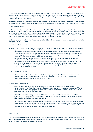Closing the 3 – year Diversity and Inclusion Plan in 2021, Addiko can proudly confirm that over 90% of the measures that were outlined in the 3- year D&I Plan were achieved as well as achieving 33% female representation for most of 2021. There are up to five new female candidates in the process of regulatory approval who will be entering Addiko Bank Supervisory Board positions in 2022.

In addition, there are four successful programs that have been introduced in 2021 with the aim to build bench strength through which more women are expected to be promoted to Management and Supervisory Board positions in the future.

#### 1) Recognition & Awards:

Addiko Bank Croatia and Addiko Bank Serbia each achieved the EU-supported prestigious 'Mamforce' top employer recognition, an award given to companies who actively promote and implement diversity and inclusion in their workplace practices. The award is given only after an in-depth audit of the Company's metrics, policies, and practices. The award confirms that the organization is actively committed to achieving measurable Diversity targets by Year End 2024. The audit is repeated annually to ensure diversity & inclusion is improved year on year.

Addiko Slovenia was awarded by the Managers' association of Slovenia as a company that supports diversity and inclusion through the Include.All award.

#### 2) Addiko and the Community

Numerous initiatives have been launched with the aim to support a diverse and inclusive workplace and to support community awareness on the topic. In line with that:

- Addiko Bank Sarajevo partnered with Deloitte to launch The Women's Mentoring Program through which 50 women could apply and be mentored by 50 well known female role models in Bosnia and Herzegovina. The mentoring program included seminars, guest speakers, networking opportunities as well as mentoring programs focused upon female leadership and development.
- Addiko Bank Croatia sponsored and participated in the regional conference 'Adria Women in Banking' providing guest speakers who shared their experiences and learnings
- Addiko Bank Serbia joined UN's global initiative Women's Empowerment Principles that promotes inclusion and equal rights for women. The Bank has also raised awareness on diversity and inclusion topics in the workplace, celebrating International Women's Day and organizing projects through which inclusion of people with disabilities has been increased.

#### 3)Addiko Mentoring Program

- The successful implementation of the Addiko Mentoring program in which 90% of Addiko Bank's board members are mentoring future leaders. Over 70% of mentoring participants are females with over 120 mentoring partnerships completed or in place by YE 2021.
- 4) Succession Pool Development
	- Group level succession planning of Supervisory Boards with specific focus on recruiting female representatives across Supervisory Boards in the subsidiaries. In order to increase the percentage of female representatives in the managing bodies, close focus is placed on identifying qualified internal and external candidates that match our diversity strategy.
	- •
	- The Addiko Senior Leadership Development Center was developed and launched in three of Addiko's countries in 2021. The program has identified future succession pools and talents. This will be continued in 2022 ensuring gender-balanced talent succession.
	- •
	- All vacancies for managerial and leadership positions aim to include equal gender representation. Supervisory Board membership across the Group reflects the wide aspects of diversity and inclusion regarding gender, age structure and nationality. Further consistent attention will be required to achieve the new 2022-2024 D&I targets building on strong foundations that have been put in place.

#### <span id="page-15-0"></span>**3.1.8. Recruitment**

The selection and recruitment of employees is based on clearly defined business needs. Addiko Bank creates an environment that enables the employment of candidates with different backgrounds, experiences and perspectives in order to achieve the best results without limitations.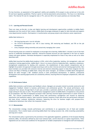For key functions, an assessment of the applicant's ability and suitability (fit & proper) is also carried out in line with EU and local regulatory guidelines. Priority is given to internal placements and promotions. The focus is on identifying talent. The internal fill rate for managerial roles is 77%, and over 65% of all vacant positions are internally filled.

#### <span id="page-16-0"></span>**3.1.9. Learning and Personal Growth**

There are many on-the-job, in-class and digital learning and development opportunities available to Addiko Bank's employees over the course of their careers. Addiko Bank encourages employees to apply for jobs internally and supports cross-departmental transfers. Participation in transformation and group projects also enhances career experiences.

Addiko Bank believes in:

- life-long learning and a 'can do' attitude;
- the 10-20-70 development rule -10% in class training, 20% mentoring and feedback, and 70% on the job development;
- every employee taking ownership and proactively managing their career.

Virtual learning zones are created for employees to encourage micro learning. Addiko Bank´s Intranet is one of the main sources of leadership development materials. Interactive business lectures are also organised in the form of master classes with guest speakers. Individual development is especially emphasised for those in key roles as well as for other identified staff.

Addiko Bank launched the Addiko Bank Academy in 2016, which offers leadership, banking, risk management, sales and compliance training opportunities. Addiko Bank´s focus is to ensure effective leadership skills, regulatory compliance, strengthened competencies for dealing with customers, the establishment of data analytic competencies and to highlight the prudent risk approach through eLearning as well as other internal and external training opportunities. New board members are provided with extensive internal and external onboarding support to help them integrate into the Culture and Ways of Working at Addiko Bank. Along with senior managers, all members of Addiko Bank's Management Boards are taken through a 360° feedback process in their professional development. In addition, professional development and coaching opportunities are consistently offered, ensuring effective employee competencies, skills and capabilities.

#### <span id="page-16-1"></span>**3.1.10. Performance Culture**

Addiko Bank promotes a performance and feedback culture. Managers are annually trained to provide constructive and engagement feedback related to business performance and professional growth. The annual performance cycle conducted from January through March of each year, provides a systematic platform for performance evaluation and target setting for the year to come. The performance management system at Addiko Bank is recognised as a key process for all employees. Over 95% of employees surveyed in 2021 said they received regular performance or career reviews in 2021. The cultural transformation of Addiko Group links performance management and rewards by balancing quantitative and qualitative aspects. Sales incentive schemes comprise of both sales-drive key performance indicators and team driven, customer satisfaction indicators, balancing the drive for business targets with purpose-drive, collaborative behaviours that reflect the Corporate Culture.

#### <span id="page-16-2"></span>**3.1.11. Remuneration**

The remuneration strategy rewards performance and contribution in an appropriate mix of fixed and variable remuneration. This is market based, preventing Addiko Bank from taking excessive risk, while rewarding sustainability and long-term results.

The remuneration policy is governed by the provisions of the applicable legislation, guidelines of the European Banking Authority (EBA), the decisions defined by each local national bank, and EU directives on capital requirements. These regulations set out criteria and conditions for the payment of variable compensation to managerial staff and employees.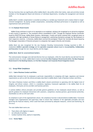The key functions that can significantly affect Addiko Bank's risk profile within their duties, tasks and activities include members of the Management Board and directors of individual departments, including risk management and internal audit.

Addiko Bank's variable compensation is awarded according to a variable pay framework and is closely linked to targetoriented management. By paying variable compensation, outstanding individual performance is recognised as well as organisational team performance.

#### <span id="page-17-0"></span>**3.1.12. Employer Brand Awards**

Addiko Group continues to work on its reputation as an employer, aiming to be recognised as an attractive employer in each country it operates in. The consistent efforts consolidated in 2021. Through the 'Employer Partner Certificate' issued by SELECTIO Group, Addiko Banks Sarajevo, Montenegro, Croatia and Serbia retained their recognised status as companies with high standards of Human Resource management, positioning themselves amongst the Top Employers in their respective countries. In Slovenia, Addiko Bank received the prestigious 'Vključi.Vse' (Include.All) Award issued by The Managers' Association of Slovenia and given to companies that support diversity and inclusion.

Addiko Bank was also recognised for the new Employer Branding Communication Strategy launched in 2021. It emphasizes **Addiko's specialist strategy** and the **specialist corporate culture** based on **Accountability, Collaboration and Execution** through the new visual identity and the slogan:

#### **Addiko Bank. Bank for unconventional bankers.**

The communication messages were derived directly from our employees, while the visual identity was derived from the corporate brand. As a result, Addiko Bank Croatia received **two Best Employer Brand Awards Adria: the Best Employer Brand Award in the Banking Industry** and **the Best Employer and Corporate Brand Integration Award.**

#### <span id="page-17-1"></span>**3.2. Group-Wide Compliance**

#### <span id="page-17-2"></span>**3.2.1. Code of Business Conduct and Ethics**

Addiko Bank demands from its employees a particular responsibility in complying with legal, regulatory and internal requirements as well as with the ethical principles described in Addiko Bank's Code of Business Conduct and Ethics.

The Code of Business Conduct and Ethics is Addiko Bank's shared commitment to operating with the highest level of integrity and ethical conduct, which is a mandatory regulatory framework applicable in the Addiko Bank for all employees, third-party service providers and business partners.

It outlines Addiko's ethical principles and provides general guidelines on how employees should behave, as well as specific guidance for employee interactions with customers, competitors, business partners, governmental authorities, shareholders as well as with each other.

As compliance is part of the organisational culture, the compliance function is decentralised at Addiko Bank. Functional managers have organisational and supervisory tasks to ensure that violations of the applicable principles and laws governing the financial industry, which could have been prevented by adequate measures, control and monitoring, do not occur.

The main Addiko Bank norms are:

- Treat others with dignity & respect;
- Act ethically & lawfully;
- Conduct business fairly, openly & responsibly.

#### <span id="page-17-3"></span>**3.2.2. Human Rights**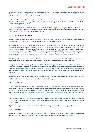Addiko Bank respects the protection of internationally proclaimed human rights. Addiko Bank is committed to upholding the fundamental human rights of its employees, and expects vendors, partners and others who provide services on behalf of Addiko Bank to adhere to the same high standards.

Addiko Bank is committed to a workplace that is free from sexual, racial and other unlawful harassment, and from threats or acts of violence or physical intimidation. Abusive, harassing or other offensive conduct is unacceptable, whether verbal, physical or visual.

Addiko Bank's values and workplace behaviours are built on trust, respect and integrity. Addiko Bank is an equal opportunity employer and bases its recruitment, employment, development and promotion decisions solely on a person's ability and potential in relation to the needs of the job.

#### <span id="page-18-0"></span>**3.2.3. Anti-Corruption, Anti-Bribery**

Addiko Bank has a zero-tolerance approach when it comes to bribery and corruption. Addiko Bank expects that all employees at every level of the organisation follow the Group's standards and policies.

All forms of bribery and corruption, including giving or promising, directly or indirectly, anything of value to any employee or government official (including state-owned companies) or a political party, candidate for office, or to any person performing public duties or state functions in order to obtain or retain business or to secure an improper advantage with respect to any aspect of Addiko Bank's business, are strictly prohibited. Gifts and invitations must always be proportionate and must not create a conflict of interest or the perception thereof. Addiko Bank expects the same from clients, business partners and third parties. Bribery and corruption are not accepted in any form.

It is strictly forbidden to request, take or offer any form of under-the-table payment, kickback, bribe, barter or other improper payment or gratuity in connection with any corporate expenditure or sale of goods or services.

In alignment with international guidelines and Addiko Bank's strategy, it is illicit for all Addiko Bank entities and colleagues working for or on behalf of Addiko Bank to provide, compensate, give, promise or authorise the payment of any money or of anything of value, directly or indirectly, to any foreign government official or employee, foreign political party or candidate thereof for the purpose of obtaining or retaining business or to secure an improper advantage (direct and indirect).

Addiko Bank requires that all third-party agreements include a provision to comply with applicable anti-corruption laws.

In 2021, Addiko Bank did not discover or record any incident of corruption.

#### <span id="page-18-1"></span>**3.2.4. Whistleblowing**

Addiko Bank is committed to supporting a culture in which all employees are encouraged to raise concerns about unacceptable practices and misconduct, and has therefore implemented a whistleblowing process - as an early warning system - that enables employees to raise concerns about potential risks related to serious wrongdoing (including unethical, illegal, corrupt or other inappropriate conduct) via various channels such as e-mail, post, Intranet, Internet, etc.

"Whistleblowers" will not suffer any disadvantage as a consequence of their whistleblowing undertakings. Addiko Bank strictly forbids retaliation against anyone who reports a possible infringement in good faith, no matter who is included in their report.

Reports are always handled in a strictly confidential manner, analysed thoroughly, and managed with due care.

#### <span id="page-18-2"></span>**3.2.5. Transparency**

Addiko Bank's standard business model is to communicate in an impartial, clear, open, transparent and non-deceptive way that contributes essential, adequate and timely information for its clients and other stakeholders.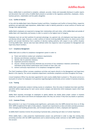Hence, Addiko Bank is committed to complete, unbiased, accurate, timely and reasonable disclosure in public reports and documents that each entity of Addiko Bank presents or provides to the regulatory authorities, employees, clients, business partners, stakeholders and the public altogether.

#### <span id="page-19-0"></span>**3.2.6. Conflict of Interest**

In line with the Addiko Bank Code of Business Conduct and Ethics, Compliance and Conflict of Interest Policy, respective guidelines and applicable legal stipulations, Addiko Bank is able to identify potential or actual conflicts of interest and manage them appropriately.

Addiko Bank's employees are expected to manage their relationships with each other, within Addiko Bank and outside of Addiko Bank with impartiality and honesty in order to commit to the highest level of integrity.

Employees must not use their positions for personal advantage. As a general rule, all employees must keep away from and disclose ethical, legal, financial, or other conflicts of interest involving Addiko Bank and/or its clients and/or third parties and exclude themselves from a position of decision-making authority with respect to any conflict situation involving Addiko Bank. Special rules have been defined within the respective rules of procedure for Management and Supervisory Board members.

#### <span id="page-19-1"></span>**3.2.7. Compliance Management**

Addiko Bank aims to utilise its compliance management system in order to:

- a) Foster and reinforce conduct per compliance requirements;
- b) Minimise and eliminate compliance violations;
- c) Identify risks for potential violations;
- d) Implement preventive measures;
- e) Uncover, remedy and proactively eliminate any occurrence of any compliance violations committed by individuals acting without authorisation and in breach of clear rules; and
- f) Achieve continuous improvement of its compliance management system.

The Chief Compliance Officer oversees compliance activities and reports directly to the Management and Supervisory Boards in this capacity. The central compliance department coordinates compliance activities throughout the Group.

A local Compliance Officer has also been appointed for each country Addiko Bank is present in. This person serves as a local point of contact for employees in all questions regarding legally and ethically correct conduct in business situations.

#### <span id="page-19-2"></span>**3.2.8. Training**

Addiko Bank systematically conducts training courses on compliance. Once the areas of emphasis have been specified, specialists define target groups for each course content category and determine which employees require which type of training.

Addiko Bank expressly encourages its employees to openly address any doubts about proper conduct in business situations, to solicit advice and informs all employees about who they can contact if they have any doubts or questions.

#### <span id="page-19-3"></span>**3.2.9. Customer Privacy**

Data protection is an issue of increasing social significance, particularly since the GDPR entered into force on 25 May 2018. GDPR strengthened the rights of data subjects, imposed new requirements on data controllers and data processors when managing and handling personal data, and increased expectations of clients, employees and regulators.

As Addiko Bank's business involves the processing of personal data, protecting such data is of utmost importance.

Within Addiko Bank, a data protection implementation project was performed in order to align the existing data processing activities with the GDPR requirements and to amend existing vendor contracts to take GDPR requirements into account.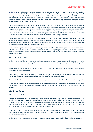Addiko Bank has established a data protection compliance management system, which, inter alia, sets forth policies and processes as well as technical and organisational measures. This group-wide data protection compliance framework also applies to the Addiko Bank entities established in non-EU countries, which have to comply with GDPR standards unless mandatory local data protection and privacy laws require otherwise. All Addiko Bank entities run individual data processing inventories and have implemented standard processes for dealing with requests when data subjects exercise their rights (e.g. access, erasure, objection).

Education and training about data protection requirements play a key role in ensuring effective data protection within Addiko Bank. All employees are regularly trained on the implications of data protection via an online tool (eLearning programme) in relation to data protection compliance. In addition, data protection impact assessments are carried out for the most critical systems. Addiko Bank uses multi-party data protection agreements (in line with the requirements set out in Art 28 GDPR) when a vendor or a third party provides a service to at least two affiliates of Addiko Bank. Therefore, compliance with data protection requirements is ensured and oversight enabled.

Each Addiko Bank entity has appointed a Data Protection Officer (DPO) within a specialised, independent role, who reports directly to the respective Management Board. In addition, a group DPO coordinates data protection tasks in relation to the entire Addiko Bank. This ensures proper direct and indirect reporting lines as well as regular exchange on data protection topics within the entire Addiko Bank.

Addiko Bank has applied for the approval of binding corporate rules to facilitate intra-group transfers from its entities within the EU to those outside. Addiko Bank has implemented various reporting and escalation processes to ensure that potential data breaches can be assessed and dealt with in a timely manner. No data breaches of systemic relevance were observed in 2021.

#### <span id="page-20-0"></span>**3.2.10.Information Security**

Addiko Bank has established a state-of-the-art information security framework that adequately protects information assets and associated technologies, applications, systems, and processes in the digital ecosystem Addiko Bank operates in.

Addiko Bank applies high standards in its IT infrastructure and has developed and implemented comprehensive information security management.

Furthermore, to underpin the importance of information security, Addiko Bank has information security policies, standards and manuals in place alongside its annual training of employees on this topic.

Moreover, Addiko Bank has introduced countermeasures to guarantee the protection of data from a technical perspective.

Addiko Bank performs vulnerability scans on a monthly basis and penetration tests on both an annual and ad hoc basis. Finally, weekly meetings with its major IT partners are held to remain informed of any possible problems or security breaches.

#### <span id="page-20-1"></span>**3.3. ESG and Taxonomy**

#### <span id="page-20-2"></span>**3.3.1. Environmental Matters**

Acting in an environmentally responsible way is both the responsibility and legal duty of each and every person and organisation. Although a direct impact of banks on the environment may be regarded as rather limited and not as significant as in other industries, Addiko Bank recognises its responsibility in preserving the environment. Addiko Bank addresses environmental matters and is committed to reducing its own consumption of natural resources, mainly in terms of electricity and heating as well as fuel and paper consumption.

Protection of the environment is an important part of Addiko Bank's strategy, which aims to achieve sustainable improvement of living and working environment conditions. In 2021, there were no cases of non-compliance with environmental regulations.

Addiko Bank's current activities in connection with environmental issues are explored in the following sub-chapters.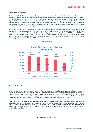#### <span id="page-21-0"></span>**3.3.2. Space Optimisation**

One of Addiko Bank's long-term measures is a group-wide space optimisation initiative aiming to reduce the space used for Addiko Bank's core business. Addiko Bank follows an open-plan concept in all of its head offices in the CSEE region, as well as in back offices. Furthermore, due to Addiko Bank's switch to modern sales concepts, such as the Addiko Bank Express Bank and the Addiko Bank Virtual Branch Offices, the sales floor is being continuously reduced. These efforts have resulted in a 43% reduction in office space over the past 5 years with a further positive outlook for 2022. Such an approach is effective in terms of the usage of heating and cooling systems and shows positive ecological effects resulting from less electricity and water consumption.

Due to the current Covid-19 pandemic, this positive development was enhanced even further. At the Addiko Bank headquarters, many workplaces and even complete office floors have been replaced by home office and flexible working concepts. As a result used office space for head office (HQ) purposes decreased by 16% from 25.222sqm to 21.056sqm during 2021, downsizing the HQ in ABSE, ABC, ABM and ABS. Further reduction is planned also in Vienna with moving ABH to a smaller office in 2022. The new office building provides also additional possibility for energy saving, being more energy efficient, than the current HQ.



**Space Optimisation**

#### <span id="page-21-1"></span>**3.3.3. Energy Saving**

Addiko Bank continues to promote the reduction of energy consumption also by applying energy efficient solutions in case of all renovations and investments. Installing light-emitting diode (LED) lighting as an energy saving solution is standard for the entire Addiko Bank network. In the procurement of electricity, Addiko Bank places an increasing emphasis upon purchasing renewable energy. Improvements have already been made at the Addiko Banks in Austria, Croatia, Slovenia and Serbia, where 10-30% of electricity comes from renewable "green" sources.

Since Addiko Bank has launched an initiative to save energy and natural resources, awareness of the importance of rational use and saving resources is at a high level in all entities. Regardless of the continuous efforts made over the past few years, the consumption of power and fuel recorded for 2020 and 2021 does not represent real consumption in normal circumstances, but affected by Covid-19. Work from home and travel limitations are reflected in the numbers for both 2020 and 2021.

#### **Energy consumption in kWh**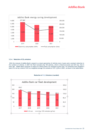

#### <span id="page-22-0"></span>**3.3.4. Reduction of CO<sup>2</sup> emissions**

With the renewal of Addiko Bank's carpool to a newer generation of vehicles every 4 years and a constant reduction in the numbers of vehicles. In 2021 the fleet included only 150 vehicles, which is historical lowest and 22% less, then 5 years ago. Addiko Bank continues to reduce its vehicle fleet's  $CO_2$  emissions (g/km) also.  $CO_2$  emissions have dropped 5 years in a row by a total of 33% to a weighted average CO<sub>2</sub> emission of 107.1 g/km in 2021, as shown in the table below.



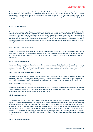Conscious fuel consumption is promoted throughout Addiko Bank. Nevertheless, a reduction of  $CO<sub>2</sub>$  emissions could be further driven by the replacement of fossil fuel-powered company cars with hybrid or electric cars. In 2021 Addiko Group adopted a policy, which prefers to lease electric and hybrid engine cars over traditional vehicles. Also in some of the countries employees are forced to use electric cars for short distance trips, wherever it is possible (e.g.: ABS, Ljubljana)

#### <span id="page-23-0"></span>**3.3.5. Travel Management**

The best way to reduce  $CO_2$  emissions on business trips is to generally avoid them or keep such trips limited. Addiko Bank has therefore implemented a sophisticated video conferencing system in all of its entities and encourages its employees to use video calls as alternatives to holding onsite business meetings whenever possible. For unavoidable business trips, however, Addiko Bank has introduced travel guidelines, with clear preference of using environmentally friendly public transportation. In order to avoid commutes at the business trip destination, Addiko Bank provides its employees with a list of recommended hotels, which can be booked at special rates and are in close proximity to regular meeting locations.

#### <span id="page-23-1"></span>**3.3.6. Document Management System**

Addiko Bank is engaged in the continuous improvement of its internal procedures in order to be more efficient and to save resources (especially paper) wherever possible. While some organisational units are legally required to use paper, other documents are fully digitalised as result of previous years' initiatives to optimise Addiko Bank's document management.

#### <span id="page-23-2"></span>**3.3.7. Effects of Digital Banking**

Besides the obvious benefits for the customer, Addiko Bank's promotion of digital banking services such as e-banking, m-banking and fully digitalised loan processing, also leads to positive environmental impacts in the form of a reduction in printing and paper (e.g. less payment and deposit slips and other documents, less toner consumption, etc.).

#### <span id="page-23-3"></span>**3.3.8. Paper Reduction and Sustainable Printing**

Optimised printing management does not only save paper. It also has a substantial influence on waste in connection with toners and energy consumption. Addiko Bank uses common, multifunctional large-scale printers, classified as energy efficiency category "A". The default printer settings are set to print in duplex mode and in black and white.

#### <span id="page-23-4"></span>**3.3.9. General Awareness Raising**

Addiko Bank shall continue to improve its environmental footprint. Group-wide environmental protection campaigns are carried out to encourage more efficient usage of company resources (for example, use of company cars, conscious use of electricity, electronic documents instead of paper print, etc.).

#### <span id="page-23-5"></span>**3.3.10. Supplier management**

The Procurement Policy of Addiko Group has been updated in 2021 by defining our expectations towards suppliers with regards to environmental protection. This obligates our suppliers to respect the fundamental rights, health and safety of their employees and refers to anti-corruption regulations. In the course of the supplier evaluation, commercial, professional/technical, legal and general parameters surrounding the future cooperation are comprehensively examined and evaluated. The policy regulates all topics relating to the organization, procedures and systems in the procurement process. When awarding contracts for external services, it stipulates that when multiple tenders are received, environmental matters are weighted high in the comparison of the offers and preference shall be given to sustainable companies.

#### <span id="page-23-6"></span>**3.3.11. Climate Risks Assessment**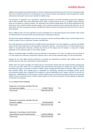Addiko Group analysed the potential impact of climate-related and environmental risks (C/E risks) on its business model both from a market/income and a cost perspective via an internal climate risk assessment and concluded that climate related and environment risks are not material for Addiko Group.

The outcomes of qualitative and quantitative assessments showed on one hand that Addiko Group's Focus segments will be able to benefit more from substitution effects under a market/income view (e.g. as Addiko Groups Consumer loans are not bound to a specific purpose, the financing of less climate friendly goods can be easily substituted by the financing of more climate-friendly consumer goods in case consumer sentiment moves towards this direction), on the other hand, the focus on granular Consumer and SME loans allows to reduce the idiosyncratic risk driven by C/E risks via diversification.

Hence, Addiko Group's non-focus segments are more susceptible to C/E risks (both physical and transition risks) as they are affected both via microeconomic and macroeconomic transmission channels.

The performed analysis highlighted once more the necessity to further accelerate Addiko Group's transformation and to further increase its focus on granular Consumer and SME loans.

Due to the granularity and diversification of Addiko Group's loan portfolio in its Focus segments, we assume that Addiko Group will be mainly impacted via macroeconomic transmission channels. Acute and chronic C/E risks already have an impact on macroeconomic indicators, whereby the severity of this impact over the medium- to long term is highly dependent on the measures taken to curb climate change.

While no immediate danger for Addiko Group was identified in the analysis of C/E risks, the urgency and uncertainty of C/E risks require the continuous monitoring of physical risks as well as their potential impact on the macroeconomy.

Despite the fact that highly affected industries are already now impacted by transition risks, Addiko Group's loan portfolio does not show any concentration in these industries.

Addiko Bank AG's board oversights the climate and/or environmental-related risks and created and ESG working group in course of year 2021 whose role is to implement ESG requirements and processes to identify and report on adverse environmental impact on business activities of Addiko Group including Key Performance Indicators (KPIs) and/or Key Risk Indicators (KRIs). ESG working group is responsible for identifying, assessing and managing climate and/or environmental-related risks in alignment with respective internal stakeholders and in regular intervals for overall risk assessment. Addiko Bank AG is in the process of climate-related and/or environmental scenario analysis or stress testing. Addiko Group environmental and/or climate related targets are derived from generally binding regulations applicable in countries of its presence.

#### <span id="page-24-0"></span>**3.3.12. Article 8 of EU Taxonomy**

| Exposures in economic activities that are<br>not taxonomy-eligible | 170.897.708,33   | 3%  |
|--------------------------------------------------------------------|------------------|-----|
| Total assets                                                       | 5.842.342.567,00 |     |
|                                                                    |                  |     |
| Exposures in economic activities that are                          |                  |     |
| taxonomy-eligible                                                  | 470.620.582,00   | 8%  |
| Total assets                                                       | 5.842.342.567,00 |     |
|                                                                    |                  |     |
| Exposures in sovereigns, central banks,                            |                  |     |
| supranational issuers and derivatives                              | 1.169.415.089,00 | 20% |
| Total assets                                                       | 5.842.342.567,00 |     |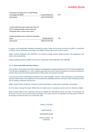Proportion of exposures in undertakings not subject to NFRD 4.125.679.027,67 71% total assets 5.842.342.567,00

Credit institutions also report the share of their trading portfolio and on demand interbank loans in their total assets.

trading portfolio and on demand interbank

| loans        | 150.853.841,00   | 3% |
|--------------|------------------|----|
| total assets | 5.842.342.567,00 |    |

In support of the quantitative indicators including the scope of assets and activities covered by the KPIs, we would like to disclose that all information were taken from Addiko's internal data sources and IT systems.

Addiko considers Regulation (EU) 2020/852 in its business strategy, product design processes and engagement with clients and counterparties.

Limited trading portfolios of Addiko Group and its composition reflects Regulation (EU) 2020/852.

#### <span id="page-25-0"></span>**3.3.13. Green Assets Ratio and Green Products**

On 6 July 2021, the European Commission adopted the Delegated Act supplementing Article 8 of the Taxonomy Regulation ("the Disclosures Delegated Act"), which requires large financial and non-financial companies to provide information to investors about the environmental performance of their assets and economic activities.

In the case of financial undertakings (investment firms, asset managers, insurers, credit institutions), key performance indicators (KPIs) relate to the proportion of environmentally sustainable economic activities in their financing activities, such as lending, investment and insurance

Addiko started internal initiatives to disclose its Green Asset Ratio to assess banks' sustainable commitments.

As of the date of issuing this report, Addiko does not classify any of its products as green and/or as Taxonomy eligible.

Based on latest drafts of ITS, institutions will have to disclose the information from 28 June 2022. The disclosure will be annual in the first year and semi-annual thereafter. This means that the first disclosure will take place in 2023 for the disclosure reference date as of 31 December 2022.

Vienna, 23.02.2022

Addiko Bank AG

#### MANAGEMENT BOARD

Herbert Juranek m.p. (Chairman)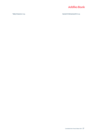

Tadej Krasovec m.p. Ganesh Krishnamoorthi m.p.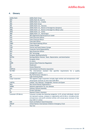### <span id="page-27-0"></span>**4. Glossary**

| Addiko Bank         | Addiko Bank Group                                                                |
|---------------------|----------------------------------------------------------------------------------|
| <b>ABH</b>          | Addiko Bank AG, Austria                                                          |
| <b>ABC</b>          | Addiko Bank d.d., Croatia                                                        |
| ABG                 | Addiko Bank Group                                                                |
| <b>ABS</b>          | Addiko Bank d.d., Slovenia                                                       |
| <b>ABSA</b>         | Addiko Bank d.d., Bosnia & Herzegovina (Sarajevo)                                |
| <b>ABBL</b>         | Addiko Bank a.d., Bosnia & Herzegovina (Banja Luka)                              |
| <b>ABSE</b>         | Addiko Bank a.d., Serbia                                                         |
| <b>ABM</b>          | Addiko Bank a.d., Montenegro                                                     |
| <b>ARZ</b>          | ARZ Allgemeines Rechenzentrum GmbH                                               |
| <b>CEO</b>          | <b>Chief Executive Officer</b>                                                   |
| <b>CFO</b>          | <b>Chief Financial Officer</b>                                                   |
| <b>CRO</b>          | <b>Chief Risk Officer</b>                                                        |
| <b>CRBO</b>         | Chief Retail Banking Officer                                                     |
| CO <sub>2</sub>     | <b>Carbon Dioxide</b>                                                            |
| <b>CSEE</b>         | Central and South-Eastern Europe                                                 |
| <b>CSR</b>          | Corporate Social Responsibility                                                  |
| <b>DPO</b>          | <b>Data Protection Officer</b>                                                   |
| <b>DXC</b>          | <b>DXC Technology</b>                                                            |
| <b>EBA</b>          | European Banking Authority                                                       |
| <b>EBITDA</b>       | Earnings Before Interest, Taxes, Depreciation, and Amortisation                  |
| <b>EU</b>           | <b>European Union</b>                                                            |
| etc.                | et cetera                                                                        |
| <b>GDPR</b>         | <b>General Data Protection Regulation</b>                                        |
| HC                  | Headcount                                                                        |
| <b>HR</b>           | <b>Human Resources</b>                                                           |
| <b>ICERTIAS</b>     | International Certification Association                                          |
| <b>ISO 9001</b>     | The international standard that specifies requirements for a quality             |
|                     | management system                                                                |
| <b>KPI</b>          | Key Performance Indicator/s                                                      |
| LED                 | <b>Light-Emitting Diode</b>                                                      |
| Large Corporates    | The segment Large Corporates includes legal entities and entrepreneurs with      |
|                     | annual gross revenues of more than EUR 40mn                                      |
| <b>LGBTIQ</b>       | Lesbian, Gay, Bisexual, Transgender, Intersex and Queer                          |
| <b>NGO</b>          | Non-Governmental Organisation/s                                                  |
| <b>NORBS</b>        | National organisation for rare diseases                                          |
| oGA                 | <b>Ordinary General Assembly</b>                                                 |
| PI                  | Private Individual                                                               |
| PPI                 | Payment Protect Insurance                                                        |
| Consumer (PI/Micro) | Consumer includes the following categories: (i) PI, private individuals, who do  |
|                     | not represent a group, company, or organisation and (ii) Micro, Includes private |
|                     | entrepreneurs and profit-oriented entities with annual gross revenues of less    |
|                     | than EUR 0.5 million                                                             |
| <b>SME</b>          | Small and Medium-Sized Enterprises                                               |
| <b>UNICEF</b>       | United Nations International Children's Emergency Fund                           |
| YΕ                  | Year End                                                                         |